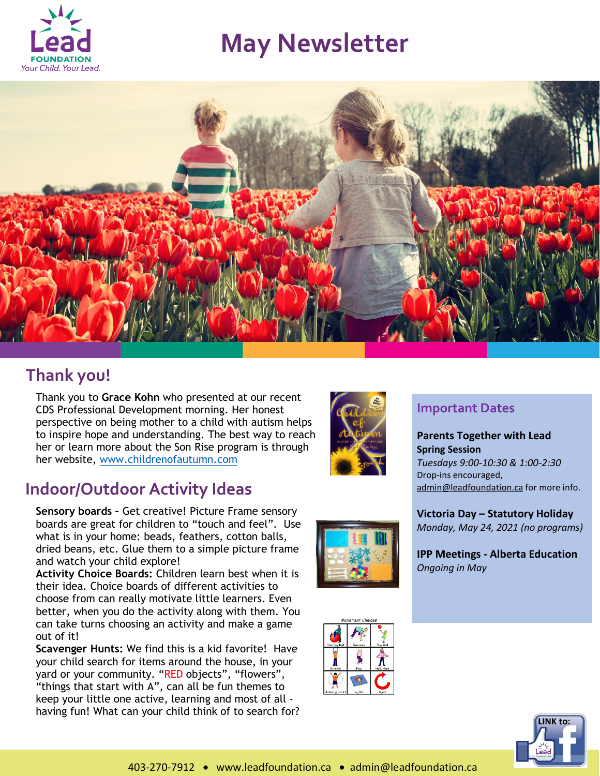

# **May Newsletter**



## **Thank you!**

Thank you to **Grace Kohn** who presented at our recent CDS Professional Development morning. Her honest perspective on being mother to a child with autism helps to inspire hope and understanding. The best way to reach her or learn more about the Son Rise program is through her website, [www.childrenofautumn.com](http://www.childrenofautumn.com/)

## **Indoor/Outdoor Activity Ideas**

**Sensory boards –** Get creative! Picture Frame sensory boards are great for children to "touch and feel". Use what is in your home: beads, feathers, cotton balls, dried beans, etc. Glue them to a simple picture frame and watch your child explore!

**Activity Choice Boards:** Children learn best when it is their idea. Choice boards of different activities to choose from can really motivate little learners. Even better, when you do the activity along with them. You can take turns choosing an activity and make a game out of it!

**Scavenger Hunts:** We find this is a kid favorite! Have your child search for items around the house, in your yard or your community. "RED objects", "flowers", "things that start with A", can all be fun themes to keep your little one active, learning and most of all having fun! What can your child think of to search for?



### **Important Dates**

**Parents Together with Lead Spring Session** *Tuesdays 9:00-10:30 & 1:00-2:30* Drop-ins encouraged, [admin@leadfoundation.ca](mailto:admin@leadfoundation.ca) for more info.

**Victoria Day – Statutory Holiday**  *Monday, May 24, 2021 (no programs)*

**IPP Meetings - Alberta Education** *Ongoing in May*